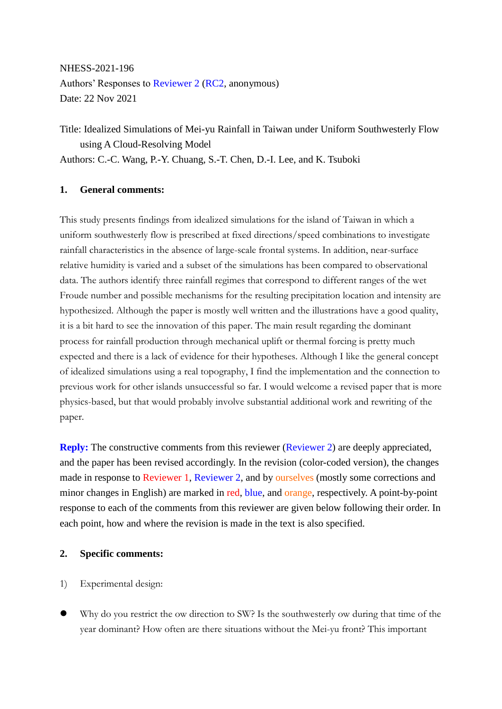NHESS-2021-196 Authors' Responses to Reviewer 2 (RC2, anonymous) Date: 22 Nov 2021

Title: Idealized Simulations of Mei-yu Rainfall in Taiwan under Uniform Southwesterly Flow using A Cloud-Resolving Model Authors: C.-C. Wang, P.-Y. Chuang, S.-T. Chen, D.-I. Lee, and K. Tsuboki

## **1. General comments:**

This study presents findings from idealized simulations for the island of Taiwan in which a uniform southwesterly flow is prescribed at fixed directions/speed combinations to investigate rainfall characteristics in the absence of large-scale frontal systems. In addition, near-surface relative humidity is varied and a subset of the simulations has been compared to observational data. The authors identify three rainfall regimes that correspond to different ranges of the wet Froude number and possible mechanisms for the resulting precipitation location and intensity are hypothesized. Although the paper is mostly well written and the illustrations have a good quality, it is a bit hard to see the innovation of this paper. The main result regarding the dominant process for rainfall production through mechanical uplift or thermal forcing is pretty much expected and there is a lack of evidence for their hypotheses. Although I like the general concept of idealized simulations using a real topography, I find the implementation and the connection to previous work for other islands unsuccessful so far. I would welcome a revised paper that is more physics-based, but that would probably involve substantial additional work and rewriting of the paper.

**Reply:** The constructive comments from this reviewer (Reviewer 2) are deeply appreciated, and the paper has been revised accordingly. In the revision (color-coded version), the changes made in response to Reviewer 1, Reviewer 2, and by ourselves (mostly some corrections and minor changes in English) are marked in red, blue, and orange, respectively. A point-by-point response to each of the comments from this reviewer are given below following their order. In each point, how and where the revision is made in the text is also specified.

## **2. Specific comments:**

- 1) Experimental design:
- Why do you restrict the ow direction to SW? Is the southwesterly ow during that time of the year dominant? How often are there situations without the Mei-yu front? This important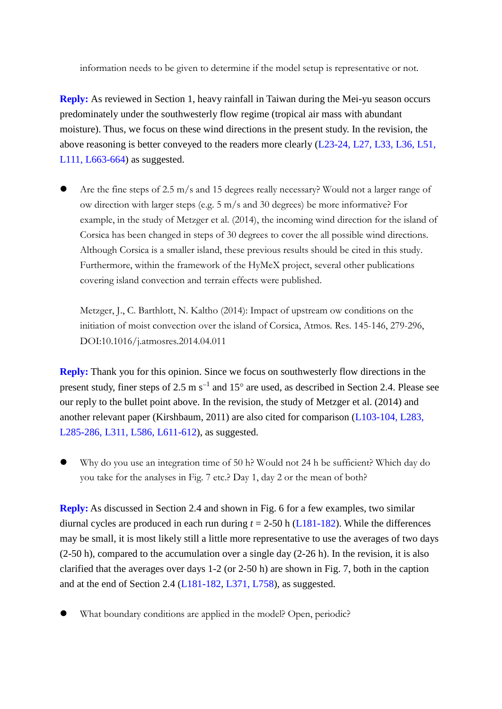information needs to be given to determine if the model setup is representative or not.

**Reply:** As reviewed in Section 1, heavy rainfall in Taiwan during the Mei-yu season occurs predominately under the southwesterly flow regime (tropical air mass with abundant moisture). Thus, we focus on these wind directions in the present study. In the revision, the above reasoning is better conveyed to the readers more clearly (L23-24, L27, L33, L36, L51, L111, L663-664) as suggested.

 Are the fine steps of 2.5 m/s and 15 degrees really necessary? Would not a larger range of ow direction with larger steps (e.g. 5 m/s and 30 degrees) be more informative? For example, in the study of Metzger et al. (2014), the incoming wind direction for the island of Corsica has been changed in steps of 30 degrees to cover the all possible wind directions. Although Corsica is a smaller island, these previous results should be cited in this study. Furthermore, within the framework of the HyMeX project, several other publications covering island convection and terrain effects were published.

Metzger, J., C. Barthlott, N. Kaltho (2014): Impact of upstream ow conditions on the initiation of moist convection over the island of Corsica, Atmos. Res. 145-146, 279-296, DOI:10.1016/j.atmosres.2014.04.011

**Reply:** Thank you for this opinion. Since we focus on southwesterly flow directions in the present study, finer steps of 2.5 m  $s^{-1}$  and 15 $\degree$  are used, as described in Section 2.4. Please see our reply to the bullet point above. In the revision, the study of Metzger et al. (2014) and another relevant paper (Kirshbaum, 2011) are also cited for comparison (L103-104, L283, L285-286, L311, L586, L611-612), as suggested.

 Why do you use an integration time of 50 h? Would not 24 h be sufficient? Which day do you take for the analyses in Fig. 7 etc.? Day 1, day 2 or the mean of both?

**Reply:** As discussed in Section 2.4 and shown in Fig. 6 for a few examples, two similar diurnal cycles are produced in each run during  $t = 2-50$  h ( $L181-182$ ). While the differences may be small, it is most likely still a little more representative to use the averages of two days (2-50 h), compared to the accumulation over a single day (2-26 h). In the revision, it is also clarified that the averages over days 1-2 (or 2-50 h) are shown in Fig. 7, both in the caption and at the end of Section 2.4 (L181-182, L371, L758), as suggested.

What boundary conditions are applied in the model? Open, periodic?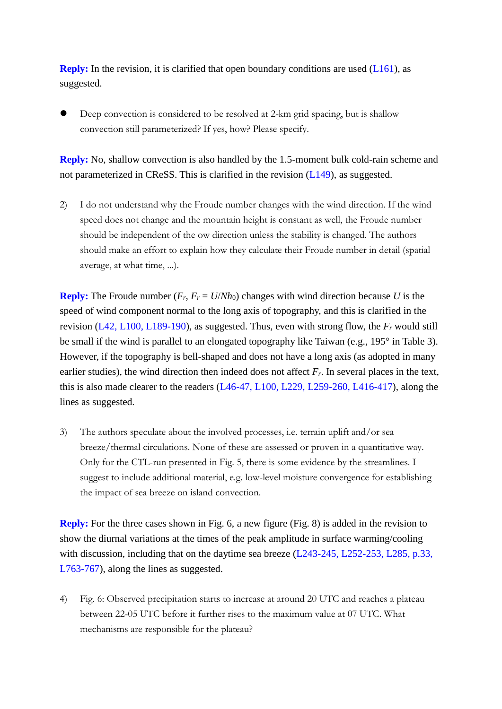**Reply:** In the revision, it is clarified that open boundary conditions are used (L161), as suggested.

 Deep convection is considered to be resolved at 2-km grid spacing, but is shallow convection still parameterized? If yes, how? Please specify.

**Reply:** No, shallow convection is also handled by the 1.5-moment bulk cold-rain scheme and not parameterized in CReSS. This is clarified in the revision (L149), as suggested.

2) I do not understand why the Froude number changes with the wind direction. If the wind speed does not change and the mountain height is constant as well, the Froude number should be independent of the ow direction unless the stability is changed. The authors should make an effort to explain how they calculate their Froude number in detail (spatial average, at what time, ...).

**Reply:** The Froude number  $(F_r, F_r = U/Nh_0)$  changes with wind direction because *U* is the speed of wind component normal to the long axis of topography, and this is clarified in the revision (L42, L100, L189-190), as suggested. Thus, even with strong flow, the *F<sup>r</sup>* would still be small if the wind is parallel to an elongated topography like Taiwan (e.g.,  $195^\circ$  in Table 3). However, if the topography is bell-shaped and does not have a long axis (as adopted in many earlier studies), the wind direction then indeed does not affect  $F_r$ . In several places in the text, this is also made clearer to the readers (L46-47, L100, L229, L259-260, L416-417), along the lines as suggested.

3) The authors speculate about the involved processes, i.e. terrain uplift and/or sea breeze/thermal circulations. None of these are assessed or proven in a quantitative way. Only for the CTL-run presented in Fig. 5, there is some evidence by the streamlines. I suggest to include additional material, e.g. low-level moisture convergence for establishing the impact of sea breeze on island convection.

**Reply:** For the three cases shown in Fig. 6, a new figure (Fig. 8) is added in the revision to show the diurnal variations at the times of the peak amplitude in surface warming/cooling with discussion, including that on the daytime sea breeze (L243-245, L252-253, L285, p.33, L763-767), along the lines as suggested.

4) Fig. 6: Observed precipitation starts to increase at around 20 UTC and reaches a plateau between 22-05 UTC before it further rises to the maximum value at 07 UTC. What mechanisms are responsible for the plateau?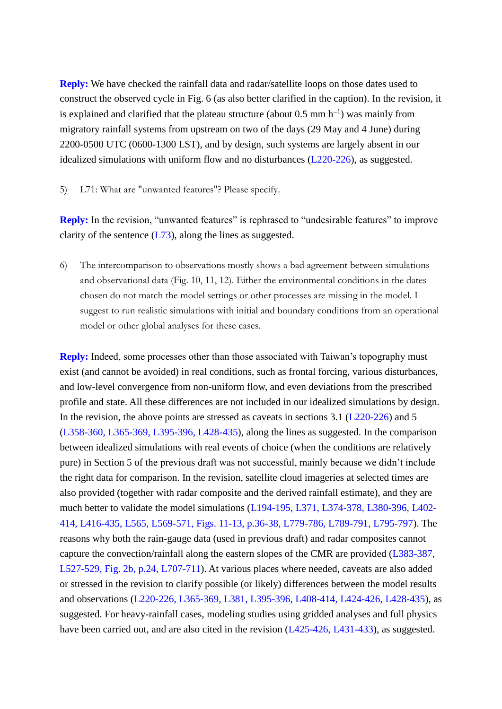**Reply:** We have checked the rainfall data and radar/satellite loops on those dates used to construct the observed cycle in Fig. 6 (as also better clarified in the caption). In the revision, it is explained and clarified that the plateau structure (about  $0.5 \text{ mm h}^{-1}$ ) was mainly from migratory rainfall systems from upstream on two of the days (29 May and 4 June) during 2200-0500 UTC (0600-1300 LST), and by design, such systems are largely absent in our idealized simulations with uniform flow and no disturbances (L220-226), as suggested.

5) L71: What are "unwanted features"? Please specify.

**Reply:** In the revision, "unwanted features" is rephrased to "undesirable features" to improve clarity of the sentence  $(L73)$ , along the lines as suggested.

6) The intercomparison to observations mostly shows a bad agreement between simulations and observational data (Fig. 10, 11, 12). Either the environmental conditions in the dates chosen do not match the model settings or other processes are missing in the model. I suggest to run realistic simulations with initial and boundary conditions from an operational model or other global analyses for these cases.

**Reply:** Indeed, some processes other than those associated with Taiwan's topography must exist (and cannot be avoided) in real conditions, such as frontal forcing, various disturbances, and low-level convergence from non-uniform flow, and even deviations from the prescribed profile and state. All these differences are not included in our idealized simulations by design. In the revision, the above points are stressed as caveats in sections 3.1 (L220-226) and 5 (L358-360, L365-369, L395-396, L428-435), along the lines as suggested. In the comparison between idealized simulations with real events of choice (when the conditions are relatively pure) in Section 5 of the previous draft was not successful, mainly because we didn't include the right data for comparison. In the revision, satellite cloud imageries at selected times are also provided (together with radar composite and the derived rainfall estimate), and they are much better to validate the model simulations (L194-195, L371, L374-378, L380-396, L402- 414, L416-435, L565, L569-571, Figs. 11-13, p.36-38, L779-786, L789-791, L795-797). The reasons why both the rain-gauge data (used in previous draft) and radar composites cannot capture the convection/rainfall along the eastern slopes of the CMR are provided (L383-387, L527-529, Fig. 2b, p.24, L707-711). At various places where needed, caveats are also added or stressed in the revision to clarify possible (or likely) differences between the model results and observations (L220-226, L365-369, L381, L395-396, L408-414, L424-426, L428-435), as suggested. For heavy-rainfall cases, modeling studies using gridded analyses and full physics have been carried out, and are also cited in the revision (L425-426, L431-433), as suggested.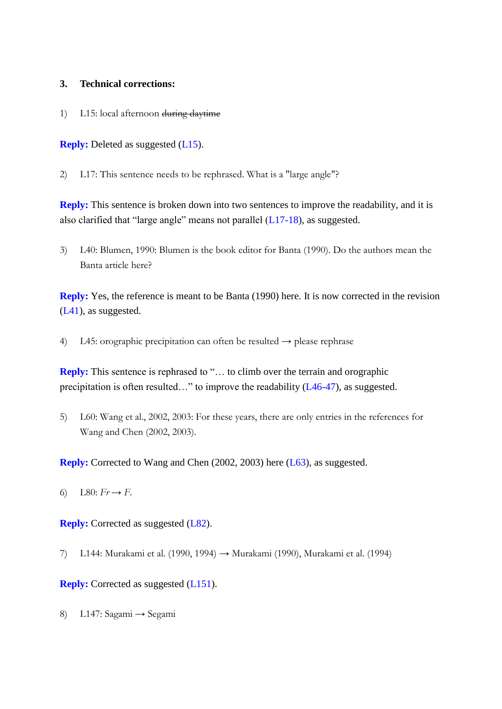## **3. Technical corrections:**

1) L15: local afternoon during daytime

**Reply:** Deleted as suggested (L15).

2) L17: This sentence needs to be rephrased. What is a "large angle"?

**Reply:** This sentence is broken down into two sentences to improve the readability, and it is also clarified that "large angle" means not parallel (L17-18), as suggested.

3) L40: Blumen, 1990: Blumen is the book editor for Banta (1990). Do the authors mean the Banta article here?

**Reply:** Yes, the reference is meant to be Banta (1990) here. It is now corrected in the revision (L41), as suggested.

4) L45: orographic precipitation can often be resulted  $\rightarrow$  please rephrase

**Reply:** This sentence is rephrased to "… to climb over the terrain and orographic precipitation is often resulted…" to improve the readability (L46-47), as suggested.

5) L60: Wang et al., 2002, 2003: For these years, there are only entries in the references for Wang and Chen (2002, 2003).

**Reply:** Corrected to Wang and Chen (2002, 2003) here (L63), as suggested.

6) L80:  $Fr \to F_r$ 

**Reply:** Corrected as suggested (L82).

7) L144: Murakami et al. (1990, 1994) → Murakami (1990), Murakami et al. (1994)

## **Reply:** Corrected as suggested (L151).

8) L147: Sagami → Segami